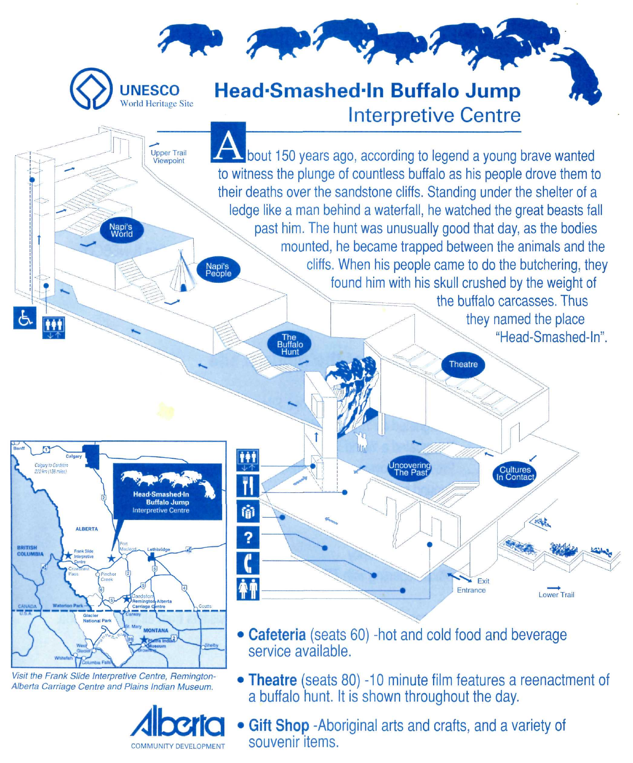

Visit the Frank Slide Interpretive Centre, Remington-Alberta Carriage Centre and Plains Indian Museum.



a buffalo hunt. It is shown throughout the day. • Gift Shop -Aboriginal arts and crafts, and a variety of souvenir items.

Theatre (seats 80) -10 minute film features a reenactment of